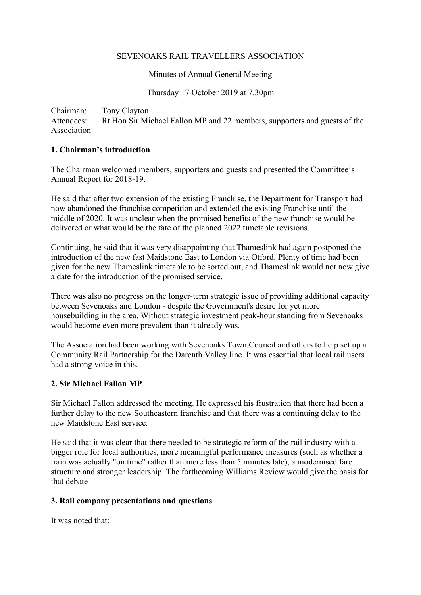### SEVENOAKS RAIL TRAVELLERS ASSOCIATION

Minutes of Annual General Meeting

Thursday 17 October 2019 at 7.30pm

Chairman: Tony Clayton Attendees: Rt Hon Sir Michael Fallon MP and 22 members, supporters and guests of the Association

## **1. Chairman's introduction**

The Chairman welcomed members, supporters and guests and presented the Committee's Annual Report for 2018-19.

He said that after two extension of the existing Franchise, the Department for Transport had now abandoned the franchise competition and extended the existing Franchise until the middle of 2020. It was unclear when the promised benefits of the new franchise would be delivered or what would be the fate of the planned 2022 timetable revisions.

Continuing, he said that it was very disappointing that Thameslink had again postponed the introduction of the new fast Maidstone East to London via Otford. Plenty of time had been given for the new Thameslink timetable to be sorted out, and Thameslink would not now give a date for the introduction of the promised service.

There was also no progress on the longer-term strategic issue of providing additional capacity between Sevenoaks and London - despite the Government's desire for yet more housebuilding in the area. Without strategic investment peak-hour standing from Sevenoaks would become even more prevalent than it already was.

The Association had been working with Sevenoaks Town Council and others to help set up a Community Rail Partnership for the Darenth Valley line. It was essential that local rail users had a strong voice in this.

## **2. Sir Michael Fallon MP**

Sir Michael Fallon addressed the meeting. He expressed his frustration that there had been a further delay to the new Southeastern franchise and that there was a continuing delay to the new Maidstone East service.

He said that it was clear that there needed to be strategic reform of the rail industry with a bigger role for local authorities, more meaningful performance measures (such as whether a train was actually "on time" rather than mere less than 5 minutes late), a modernised fare structure and stronger leadership. The forthcoming Williams Review would give the basis for that debate

## **3. Rail company presentations and questions**

It was noted that: